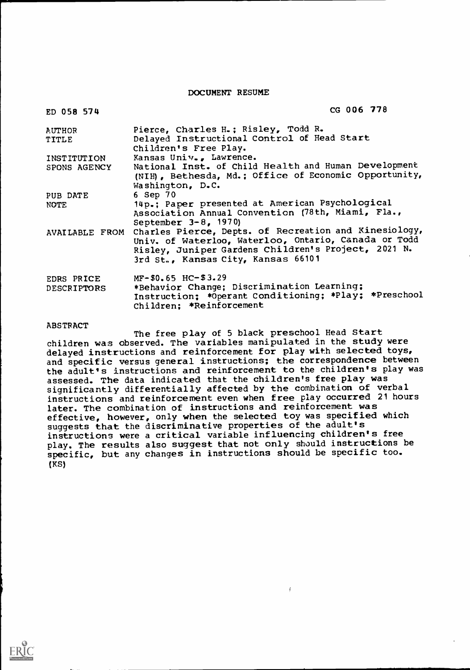DOCUMENT RESUME

| ED 058 574                       | CG 006 778                                                                                                                                                                                                                |
|----------------------------------|---------------------------------------------------------------------------------------------------------------------------------------------------------------------------------------------------------------------------|
| AUTHOR<br>TITLE                  | Pierce, Charles H.; Risley, Todd R.<br>Delayed Instructional Control of Head Start<br>Children's Free Play.                                                                                                               |
| INSTITUTION<br>SPONS AGENCY      | Kansas Univ., Lawrence.<br>National Inst. of Child Health and Human Development<br>(NIH), Bethesda, Md.; Office of Economic Opportunity,<br>Washington, D.C.                                                              |
| PUB DATE<br>NOTE.                | 6 Sep 70<br>14p.; Paper presented at American Psychological<br>Association Annual Convention (78th, Miami, Fla.,<br>September $3 - 8$ , 1970)                                                                             |
|                                  | AVAILABLE FROM Charles Pierce, Depts. of Recreation and Kinesiology,<br>Univ. of Waterloo, Waterloo, Ontario, Canada or Todd<br>Risley, Juniper Gardens Children's Project, 2021 N.<br>3rd St., Kansas City, Kansas 66101 |
| EDRS PRICE<br><b>DESCRIPTORS</b> | $MF-$0.65$ HC-\$3.29<br>*Behavior Change; Discrimination Learning;<br>Instruction; *Operant Conditioning; *Play; *Preschool<br>Children: *Reinforcement                                                                   |

ABSTRACT

The free play of 5 black preschool Head Start children was observed. The variables manipulated in the study were delayed instructions and reinforcement for play with selected toys, and specific versus general instructions; the correspondence between the adult's instructions and reinforcement to the children's play was assessed. The data indicated that the children's free play was significantly differentially affected by the combination of verbal instructions and reinforcement even when free play occurred 21 hours later. The combination of instructions and reinforcement was effective, however, only when the selected toy was specified which suggests that the discriminative properties of the adult's instructions were a critical variable influencing children's free play. The results also suggest that not only should instructions be specific, but any changes in instructions should be specific too. (KS)

 $\mathfrak{f}$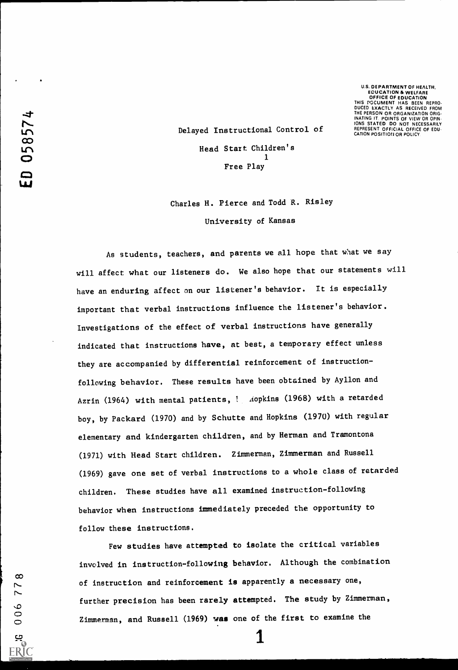U.S. DEPARTMENT OF HEALTH, EDUCATION & WELFARE OFFICE OF EDUCATION THIS DOCUMENT HAS BEEN REPRO-DUCED EXACTLY AS RECEIVED FROM THE PERSON OR ORGANIZATION ORIG-INATING IT. POINTS OF VIEW OR OPIN-IONS STATED DO NOT NECESSARILY REPRESENT OFFICIAL OFFICE OF EDU. CATION POSITION OR POLICY

 $\infty$ 77

 $006$ 

بع<br><u>ERIC</u>

Delayed Instructional Control of Head Start Children's 1 Free Play

Charles H. Pierce and Todd R. Risley University of Kansas

As students, teachers, and parents we all hope that what we say will affect what our listeners do. We also hope that our statements will have an enduring affect on our listener's behavior. It is especially important that verbal instructions influence the listener's behavior. Investigations of the effect of verbal instructions have generally indicated that instructions have, at best, a temporary effect unless they are accompanied by differential reinforcement of instructionfollowing behavior. These results have been obtained by Ayllon and Azrin (1964) with mental patients, *! Aopkins* (1968) with a retarded boy, by Packard (1970) and by Schutte and Hopkins (1970) with regular elementary and kindergarten children, and by Herman and Tramontona (1971) with Head Start children. Zimmerman, Zimmerman and Russell (1969) gave one set of verbal instructions to a whole class of retarded children. These studies have all examined instruction-following behavior when instructions immediately preceded the opportunity to follow these instructions.

Few studies have attempted to isolate the critical variables involved in instruction-following behavior. Although the combination of instruction and reinforcement is apparently a necessary one, further precision has been rarely attempted. The study by Zimmerman, Zimmerman, and Russell (1969) was one of the first to examine the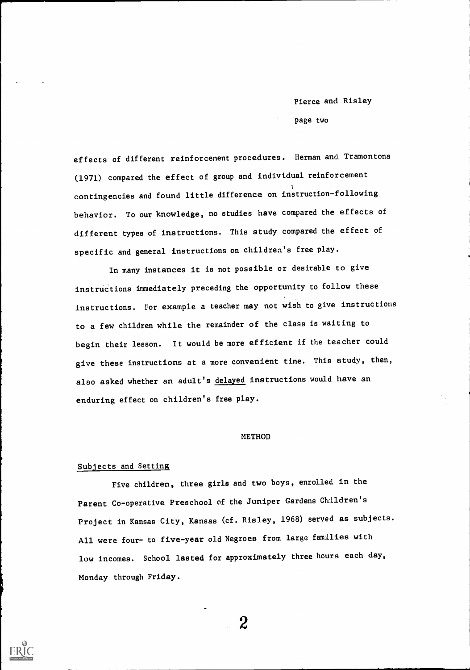page two

effects of different reinforcement procedures. Herman and. Tramontona (1971) compared the effect of group and individual reinforcement contingencies and found little difference on instruction-following behavior. To our knowledge, no studies have compared the effects of different types of instructions. This study compared the effect of specific and general instructions on children's free play.

In many instances it is not possible or desirable to give instructions immediately preceding the opportunity to follow these instructions. For example a teacher may not wish to give instructions to a few children while the remainder of the class is waiting to begin their lesson. It would be more efficient if the teacher could give these instructions at a more convenient time. This study, then, also asked whether an adult's delayed instructions would have an enduring effect on children's free play.

#### METHOD

#### Subjects and Setting

Five children, three girls and two boys, enrolled in the Parent Co-operative Preschool of the Juniper Gardens Children's Project in Kansas City, Kansas (cf. Risley, 1968) served as subjects. All were four- to five-year old Negroes from large families with low incomes. School lasted for approximately three hours each day, Monday through Friday.



 $\boldsymbol{2}$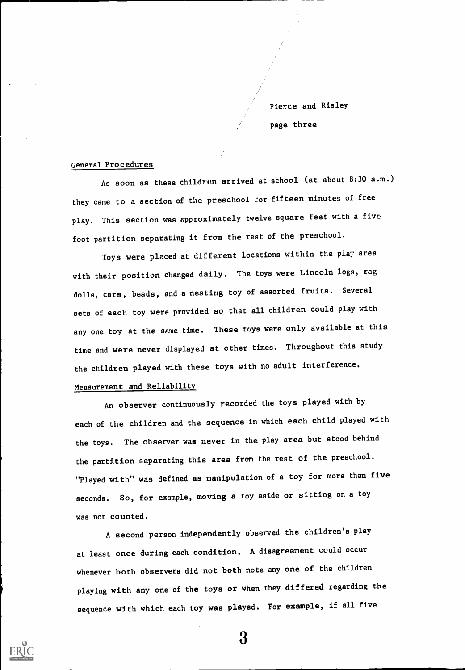Pierce and Risley page three

#### General Procedures

As soon as these children arrived at school (at about 8:30 a.m.) they came to a section of the preschool for fifteen minutes of free play. This section was approximately twelve square feet with a five foot partition separating it from the rest of the preschool.

Toys were placed at different locations within the play area with their position changed daily. The toys were Lincoln logs, rag dolls, cars, beads, and a nesting toy of assorted fruits. Several sets of each toy were provided so that all children could play with any one toy at the same time. These toys were only available at this time and were never displayed at other times. Throughout this study the children played with these toys with no adult interference. Measurement and Reliability

An observer continuously recorded the toys played with by each of the children and the sequence in which each child played with the toys. The observer was never in the play area but stood behind the partition separating this area from the rest of the preschool. "Played with" was defined as manipulation of a toy for more than five seconds. So, for example, moving a toy aside or sitting on a toy was not counted.

A second person independently observed the children's play at least once during each condition. A disagreement could occur whenever both observers did not both note any one of the children playing with any one of the toys or when they differed regarding the sequence with which each toy was played. For example, if all five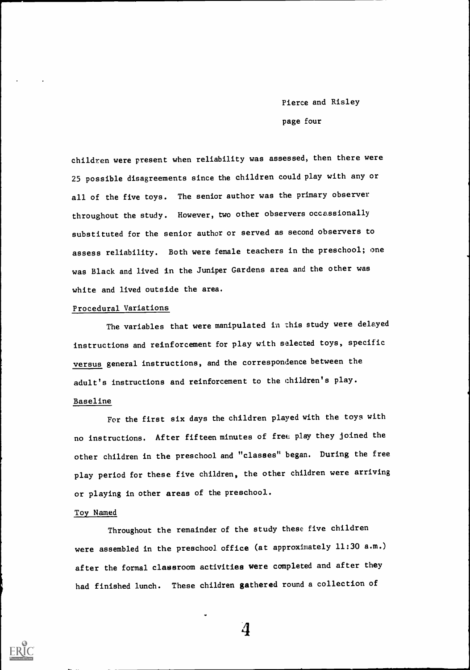Pierce and Risley page four

children were present when reliability was assessed, then there were 25 possible disagreements since the children could play with any or all of the five toys. The senior author was the primary observer throughout the study. However, two other observers occassionally substituted for the senior author or served as second observers to assess reliability. Both were female teachers in the preschool; one was Black and lived in the Juniper Gardens area and the other was white and lived outside the area.

#### Procedural Variations

The variables that were manipulated in this study were delayed instructions and reinforcement for play with selected toys, specific versus general instructions, and the correspondence between the adult's instructions and reinforcement to the children's play.

#### Baseline

For the first six days the children played with the toys with no instructions. After fifteen minutes of free play they joined the other children in the preschool and "classes" began. During the free play period for these five children, the other children were arriving or playing in other areas of the preschool.

#### Toy Named

Throughout the remainder of the study these five children were assembled in the preschool office (at approximately 11:30 a.m.) after the formal classroom activities were completed and after they had finished lunch. These children gathered round a collection of

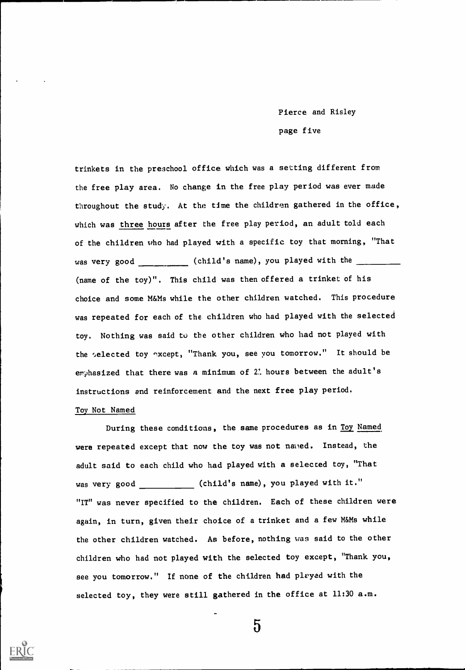# Pierce and Risley page five

trinkets in the preschool office which was a setting different from the free play area. No change in the free play period was ever made throughout the study. At the time the children gathered in the office, which was three hours after the free play period, an adult told each of the children who had played with a specific toy that morning, "That was very good \_\_\_\_\_\_\_\_\_ (child's name), you played with the \_\_\_ (name of the toy)". This child was then offered a trinket of his choice and some M&Ms while the other children watched. This procedure was repeated for each of the children who had played with the selected toy. Nothing was said to the other children who had not played with the selected toy except, "Thank you, see you tomorrow." It should be emphasized that there was a minimum of 2' hours between the adult's instructions and reinforcement and the next free play period. Toy Not Named

During these conditions, the same procedures as in Toy Named were repeated except that now the toy was not naned. Instead, the adult said to each child who had played with a selected toy, "That was very good \_\_\_\_\_\_\_\_\_\_\_\_\_ (child's name), you played with it." "IT" was never specified to the children. Each of these children were again, in turn, given their choice of a trinket and a few M&Ms while the other children watched. As before, nothing was said to the other children who had not played with the selected toy except, "Thank you, see you tomorrow." If none of the children had played with the selected toy, they were still gathered in the office at 11:30 a.m.

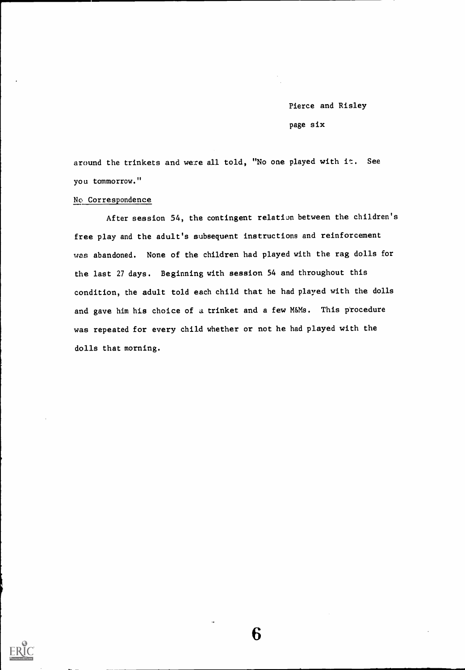Pierce and Risley page six

around the trinkets and were all told, "No one played with it. See you tomorrow."

#### No Correspondence

After session 54, the contingent relation between the children's free play and the adult's subsequent instructions and reinforcement was abandoned. None of the children had played with the rag dolls for the last 27 days. Beginning with session 54 and throughout this condition, the adult told each child that he had played with the dolls and gave him his choice of a trinket and a few M&Ms. This procedure was repeated for every child whether or not he had played with the dolls that morning.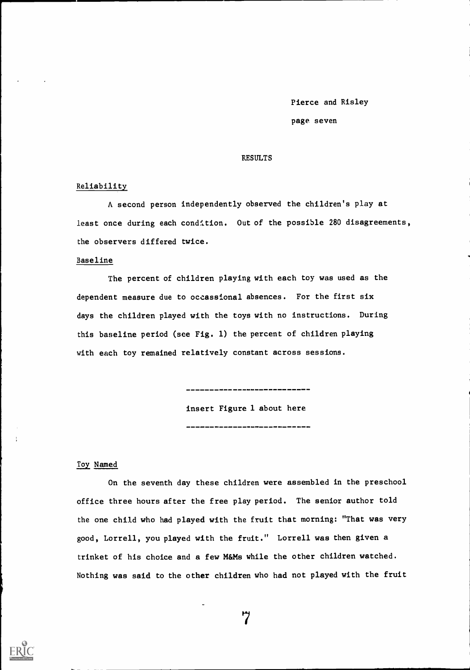page seven

#### RESULTS

#### Reliability

A second person independently observed the children's play at least once during each condition. Out of the possible 280 disagreements, the observers differed twice.

#### Baseline

The percent of children playing with each toy was used as the dependent measure due to occassional absences. For the first six days the children played with the toys with no instructions. During this baseline period (see Fig. 1) the percent of children playing with each toy remained relatively constant across sessions.

> insert Figure 1 about here -----------------------------

--------------------------

#### Toy Named

On the seventh day these children were assembled in the preschool office three hours after the free play period. The senior author told the one child who had played with the fruit that morning: "That was very good, Lorrell, you played with the fruit." Lorrell was then given a trinket of his choice and a few M&Ms while the other children watched. Nothing was said to the other children who had not played with the fruit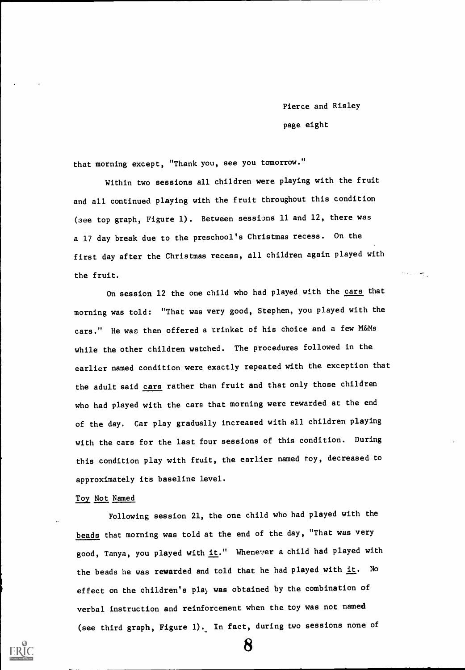Pierce and Risley page eight

 $\tau$  .

that morning except, "Thank you, see you tomorrow."

Within two sessions all children were playing with the fruit and all continued playing with the fruit throughout this condition (see top graph, Figure 1). Between sessims 11 and 12, there was a 17 day break due to the preschool's Christmas recess. On the first day after the Christmas recess, all children again played with the fruit.

On session 12 the one child who had played with the cars that morning was told: "That was very good, Stephen, you played with the cars." He was then offered a trinket of his choice and a few M&Ms while the other children watched. The procedures followed in the earlier named condition were exactly repeated with the exception that the adult said cars rather than fruit and that only those children who had played with the cars that morning were rewarded at the end of the day. Car play gradually increased with all children playing with the cars for the last four sessions of this condition. During this condition play with fruit, the earlier named toy, decreased to approximately its baseline level.

#### Toy Not Named

Following session 21, the one child who had played with the beads that morning was told at the end of the day, "That was very good, Tanya, you played with it." Whenever a child had played with the beads he was rewarded and told that he had played with  $i$ t. No effect on the children's play was obtained by the combination of verbal instruction and reinforcement when the toy was not named (see third graph, Figure 1). In fact, during two sessions none of

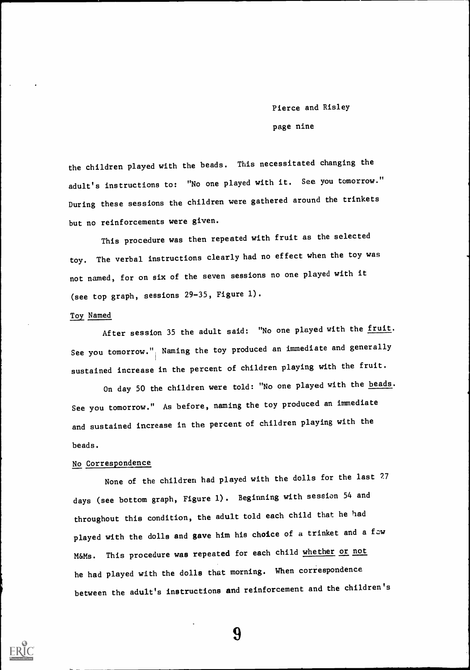page nine

the children played with the beads. This necessitated changing the adult's instructions to: "No one played with it. See you tomorrow." During these sessions the children were gathered around the trinkets but no reinforcements were given.

This procedure was then repeated with fruit as the selected toy. The verbal instructions clearly had no effect when the toy was not named, for on six of the seven sessions no one played with it (see top graph, sessions 29-35, Figure 1).

#### Toy Named

After session 35 the adult said: "No one played with the fruit. See you tomorrow.") Naming the toy produced an immediate and generally sustained increase in the percent of children playing with the fruit.

On day 50 the children were told: "No one played with the beads. See you tomorrow." As before, naming the toy produced an immediate and sustained increase in the percent of children playing with the beads.

# No Correspondence

None of the children had played with the dolls for the last 27 days (see bottom graph, Figure 1). Beginning with session 54 and throughout this condition, the adult told each child that he had played with the dolls and gave him his choice of a trinket and a few M&Ms. This procedure was repeated for each child whether or not he had played with the dolls that morning. When correspondence between the adult's instructions and reinforcement and the children's

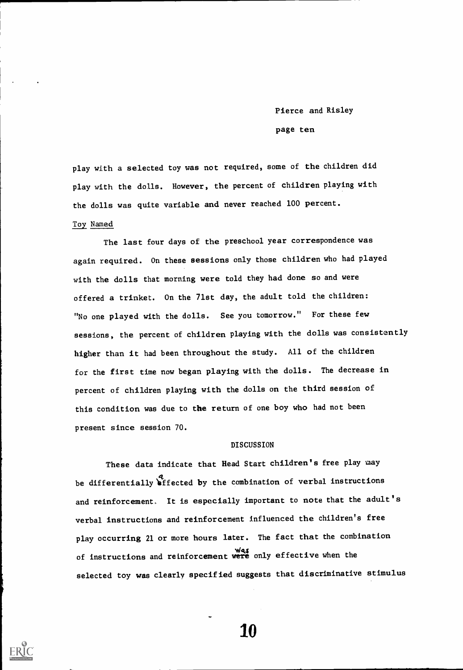Pierce and Risley page ten

play with a selected toy was not required, some of the children did play with the dolls. However, the percent of children playing with the dolls was quite variable and never reached 100 percent.

## Toy Named

The last four days of the preschool year correspondence was again required. On these sessions only those children who had played with the dolls that morning were told they had done so and were offered a trinket. On the 71st day, the adult told the children: "No one played with the dolls. See you tomorrow." For these few sessions, the percent of children playing with the dolls was consistently higher than it had been throughout the study. All of the children for the first time now began playing with the dolls. The decrease in percent of children playing with the dolls on the third session of this condition was due to the return of one boy who had not been present since session 70.

#### DISCUSSION

These data indicate that Head Start children's free play may be differentially effected by the combination of verbal instructions and reinforcement. It is especially important to note that the adult's verbal instructions and reinforcement influenced the children's free play occurring 21 or more hours later. The fact that the combination of instructions and reinforcement were only effective when the selected toy was clearly specified suggests that discriminative stimulus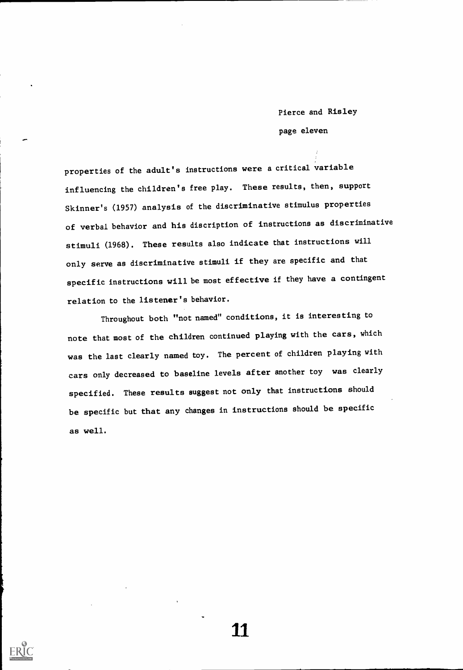# Pierce and Risley page eleven

properties of the adult's instructions were a critical variable influencing the children's free play. These results, then, support Skinner's (1957) analysis of the discriminative stimulus properties of verbal behavior and his discription of instructions as discriminative stimuli (1968). These results also indicate that instructions will only serve as discriminative stimuli if they are specific and that specific instructions will be most effective if they have a contingent relation to the listener's behavior.

Throughout both "not named" conditions, it is interesting to note that most of the children continued playing with the cars, which was the last clearly named toy. The percent of children playing with cars only decreased to baseline levels after another toy was clearly specified. These results suggest not only that instructions should be specific but that any changes in instructions should be specific as well.



-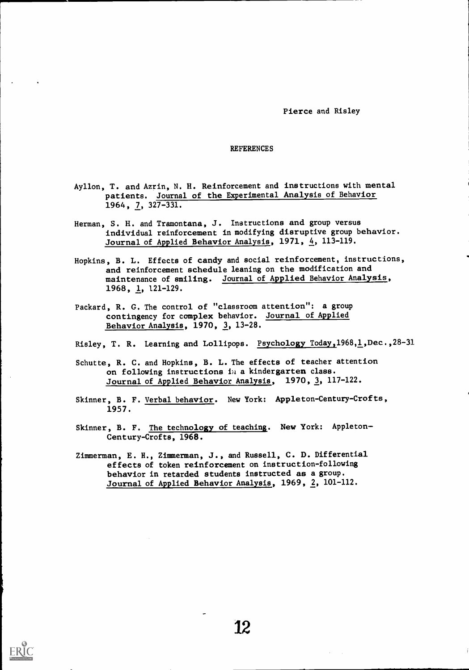#### **REFERENCES**

- Ayllon, T. and Azrin, N. H. Reinforcement and instructions with mental patients. Journal of the Experimental Analysis of Behavior 1964, 7, 327-331.
- Herman, S. H. and Tramontana, J. Instructions and group versus individual reinforcement in modifying disruptive group behavior. Journal of Applied Behavior Analysis, 1971, 4, 113-119.
- Hopkins, B. L. Effects of candy and social reinforcement, instructions, and reinforcement schedule leaning on the modification and maintenance of smiling. Journal of Applied Behavior Analysis, 1968, 1, 121-129.
- Packard, R. G. The control of "classroom attention": a group contingency for complex behavior. Journal of Applied Behavior Analysis,  $1970, 3, 13-28.$
- Risley, T. R. Learning and Lollipops. Psychology Today, 1968, 1, Dec., 28-31
- Schutte, R. C. and Hopkins, B. L. The effects of teacher attention on following instructions  $\mathbf{1}_{\mathcal{U}}$  a kindergarten class. Journal of Applied Behavior Analysis, 1970, 3, 117-122.
- Skinner, B. F. Verbal behavior. New York: Appleton-Century-Crofts, 1957.
- Skinner, B. F. The technology of teaching. New York: Appleton-Century-Crofts, 1968.
- Zimmerman, E. H., Zimmerman, J., and Russell, C. D. Differential effects of token reinforcement on instruction-following behavior in retarded students instructed as a group. Journal of Applied Behavior Analysis, 1969, 2, 101-112.

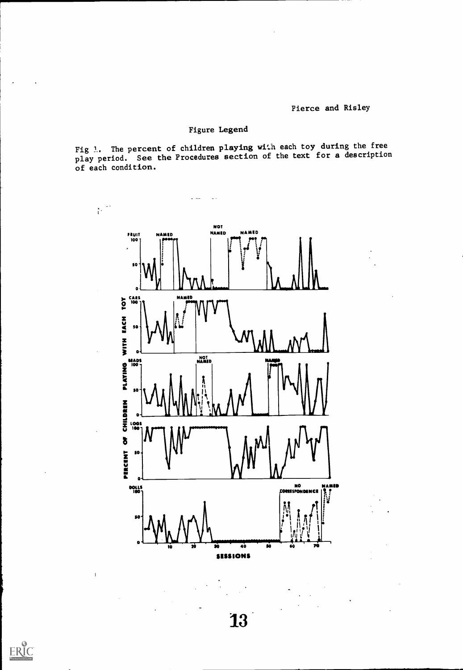### Figure Legend

 $\overline{\phantom{a}}$ 

 $ER_{\overbrace{\phantom{a}\overbrace{\phantom{a}}\overbrace{\phantom{a}}\overbrace{\phantom{a}}\overbrace{\phantom{a}}\overbrace{\phantom{a}}\overbrace{\phantom{a}}\overbrace{\phantom{a}}\overbrace{\phantom{a}}\overbrace{\phantom{a}}\overbrace{\phantom{a}}\overbrace{\phantom{a}}\overbrace{\phantom{a}}\overbrace{\phantom{a}}\overbrace{\phantom{a}}\overbrace{\phantom{a}}\overbrace{\phantom{a}}\overbrace{\phantom{a}}\overbrace{\phantom{a}}\overbrace{\phantom{a}}\overbrace{\phantom{a}}\overbrace{\phantom{a}}\overbrace{\phantom{a}}\overbrace{\phantom{a}}\overbrace$ 

 $\overline{\phantom{a}}$ 

Fig 1. The percent of children playing with each toy during the free play period. See the Procedures section of the text for a description of each condition.